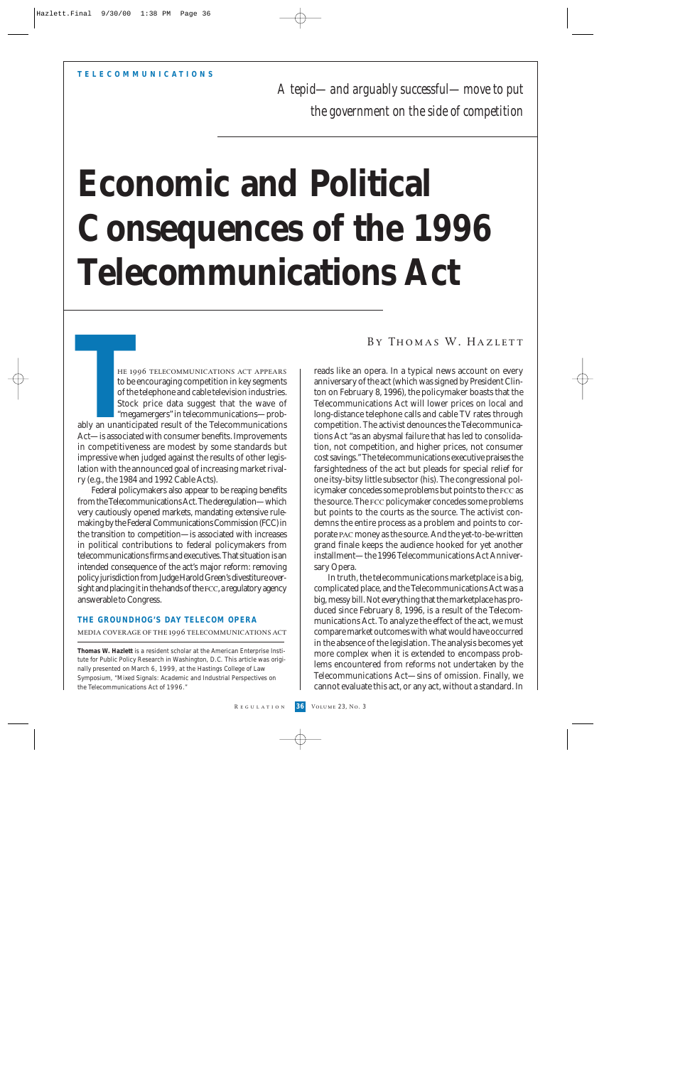*A tepid—and arguably successful—move to put the government on the side of competition* 

# **Economic and Political Consequences of the 1996 Telecommunications Act**

he 1996 telecommunications act appears to be encouraging competition in key segments of the telephone and cable television industries. Stock price data suggest that the wave of "megamergers" in telecommunications—probably an unanticipated result of the Telecommunications Act—is associated with consumer benefits. Improvements in competitiveness are modest by some standards but impressive when judged against the results of other legislation with the announced goal of increasing market rivalry (e.g., the 1984 and 1992 Cable Acts). HE 19<br>
HE 19<br>
to be e<br>
of the<br>
Stock<br>
"mega<br>
ably an unantici<br>
Act—is associate

Federal policymakers also appear to be reaping benefits from the Telecommunications Act. The deregulation—which very cautiously opened markets, mandating extensive rulemaking by the Federal Communications Commission (FCC) in the transition to competition—is associated with increases in political contributions to federal policymakers from telecommunications firms and executives. That situation is an intended consequence of the act's major reform: removing policy jurisdiction from Judge Harold Green's divestiture oversight and placing it in the hands of the fcc, a regulatory agency answerable to Congress.

#### **THE GROUNDHOG'S DAY TELECOM OPERA**

# media coverage of the 1996 telecommunications act

**Thomas W. Hazlett** is a resident scholar at the American Enterprise Institute for Public Policy Research in Washington, D.C. This article was originally presented on March 6, 1999, at the Hastings College of Law Symposium, "Mixed Signals: Academic and Industrial Perspectives on the Telecommunications Act of 1996."

BY THOMAS W. HAZLETT

reads like an opera. In a typical news account on every anniversary of the act (which was signed by President Clinton on February 8, 1996), the policymaker boasts that the Telecommunications Act will lower prices on local and long-distance telephone calls and cable TV rates through competition. The activist denounces the Telecommunications Act "as an abysmal failure that has led to consolidation, not competition, and higher prices, not consumer cost savings." The telecommunications executive praises the farsightedness of the act but pleads for special relief for one itsy-bitsy little subsector (his). The congressional policymaker concedes some problems but points to the fcc as the source. The fcc policymaker concedes some problems but points to the courts as the source. The activist condemns the entire process as a problem and points to corporate pac money as the source. And the yet-to-be-written grand finale keeps the audience hooked for yet another installment—the 1996 Telecommunications Act Anniversary Opera.

In truth, the telecommunications marketplace is a big, complicated place, and the Telecommunications Act was a big, messy bill. Not everything that the marketplace has produced since February 8, 1996, is a result of the Telecommunications Act. To analyze the effect of the act, we must compare market outcomes with what would have occurred in the absence of the legislation. The analysis becomes yet more complex when it is extended to encompass problems encountered from reforms not undertaken by the Telecommunications Act—sins of omission. Finally, we cannot evaluate this act, or any act, without a standard. In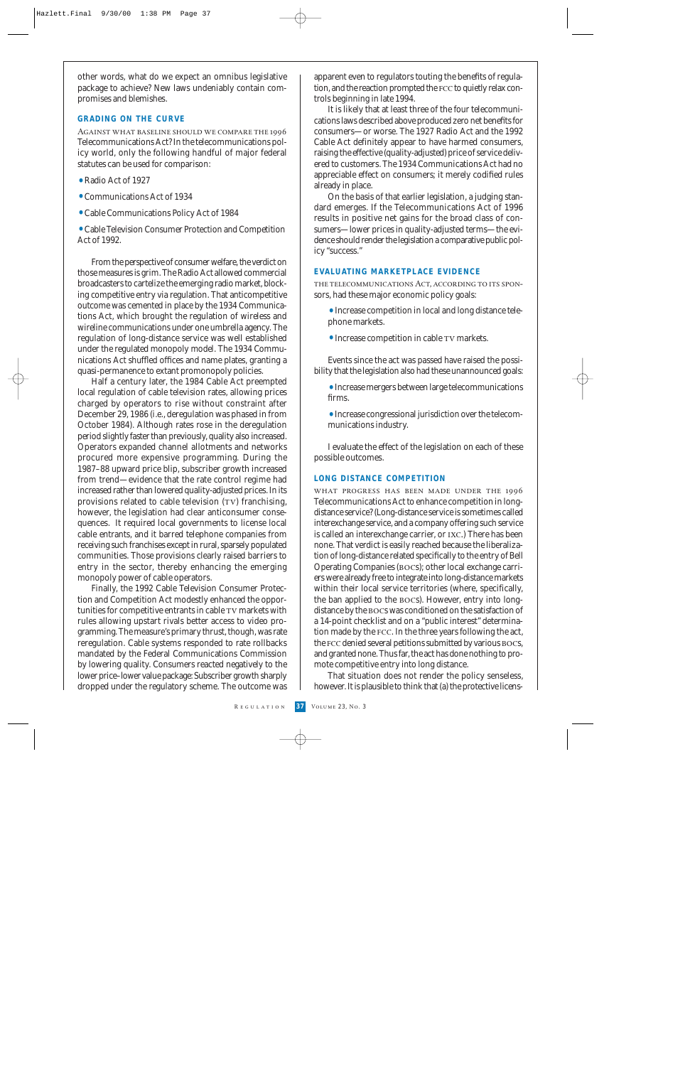other words, what do we expect an omnibus legislative package to achieve? New laws undeniably contain compromises and blemishes.

#### **GRADING ON THE CURVE**

Against what baseline should we compare the 1996 Telecommunications Act? In the telecommunications policy world, only the following handful of major federal statutes can be used for comparison:

- Radio Act of 1927
- •Communications Act of 1934
- •Cable Communications Policy Act of 1984

•Cable Television Consumer Protection and Competition Act of 1992.

From the perspective of consumer welfare, the verdict on those measures is grim. The Radio Act allowed commercial broadcasters to cartelize the emerging radio market, blocking competitive entry via regulation. That anticompetitive outcome was cemented in place by the 1934 Communications Act, which brought the regulation of wireless and wireline communications under one umbrella agency. The regulation of long-distance service was well established under the regulated monopoly model. The 1934 Communications Act shuffled offices and name plates, granting a quasi-permanence to extant promonopoly policies.

Half a century later, the 1984 Cable Act preempted local regulation of cable television rates, allowing prices charged by operators to rise without constraint after December 29, 1986 (i.e., deregulation was phased in from October 1984). Although rates rose in the deregulation period slightly faster than previously, quality also increased. Operators expanded channel allotments and networks procured more expensive programming. During the 1987–88 upward price blip, subscriber growth increased from trend—evidence that the rate control regime had increased rather than lowered quality-adjusted prices. In its provisions related to cable television (TV) franchising, however, the legislation had clear anticonsumer consequences. It required local governments to license local cable entrants, and it barred telephone companies from receiving such franchises except in rural, sparsely populated communities. Those provisions clearly raised barriers to entry in the sector, thereby enhancing the emerging monopoly power of cable operators.

Finally, the 1992 Cable Television Consumer Protection and Competition Act modestly enhanced the opportunities for competitive entrants in cable TV markets with rules allowing upstart rivals better access to video programming. The measure's primary thrust, though, was rate reregulation. Cable systems responded to rate rollbacks mandated by the Federal Communications Commission by lowering quality. Consumers reacted negatively to the lower price–lower value package: Subscriber growth sharply dropped under the regulatory scheme. The outcome was apparent even to regulators touting the benefits of regulation, and the reaction prompted the fcc to quietly relax controls beginning in late 1994.

It is likely that at least three of the four telecommunications laws described above produced zero net benefits for consumers—or worse. The 1927 Radio Act and the 1992 Cable Act definitely appear to have harmed consumers, raising the effective (quality-adjusted) price of service delivered to customers. The 1934 Communications Act had no appreciable effect on consumers; it merely codified rules already in place.

On the basis of that earlier legislation, a judging standard emerges. If the Telecommunications Act of 1996 results in positive net gains for the broad class of consumers—lower prices in quality-adjusted terms—the evidence should render the legislation a comparative public policy "success."

#### **EVALUATING MARKETPLACE EVIDENCE**

the telecommunications Act, according to its sponsors, had these major economic policy goals:

- •Increase competition in local and long distance telephone markets.
- Increase competition in cable TV markets.

Events since the act was passed have raised the possibility that the legislation also had these unannounced goals:

•Increase mergers between large telecommunications firms.

•Increase congressional jurisdiction over the telecommunications industry.

I evaluate the effect of the legislation on each of these possible outcomes.

#### **LONG DISTANCE COMPETITION**

what progress has been made under the 1996 Telecommunications Act to enhance competition in longdistance service? (Long-distance service is sometimes called interexchange service, and a company offering such service is called an interexchange carrier, or ixc.) There has been none. That verdict is easily reached because the liberalization of long-distance related specifically to the entry of Bell Operating Companies (bocs); other local exchange carriers were already free to integrate into long-distance markets within their local service territories (where, specifically, the ban applied to the bocs). However, entry into longdistance by the bocs was conditioned on the satisfaction of a 14-point checklist and on a "public interest" determination made by the fcc. In the three years following the act, the fcc denied several petitions submitted by various bocs, and granted none. Thus far, the act has done nothing to promote competitive entry into long distance.

That situation does not render the policy senseless, however. It is plausible to think that (a) the protective licens-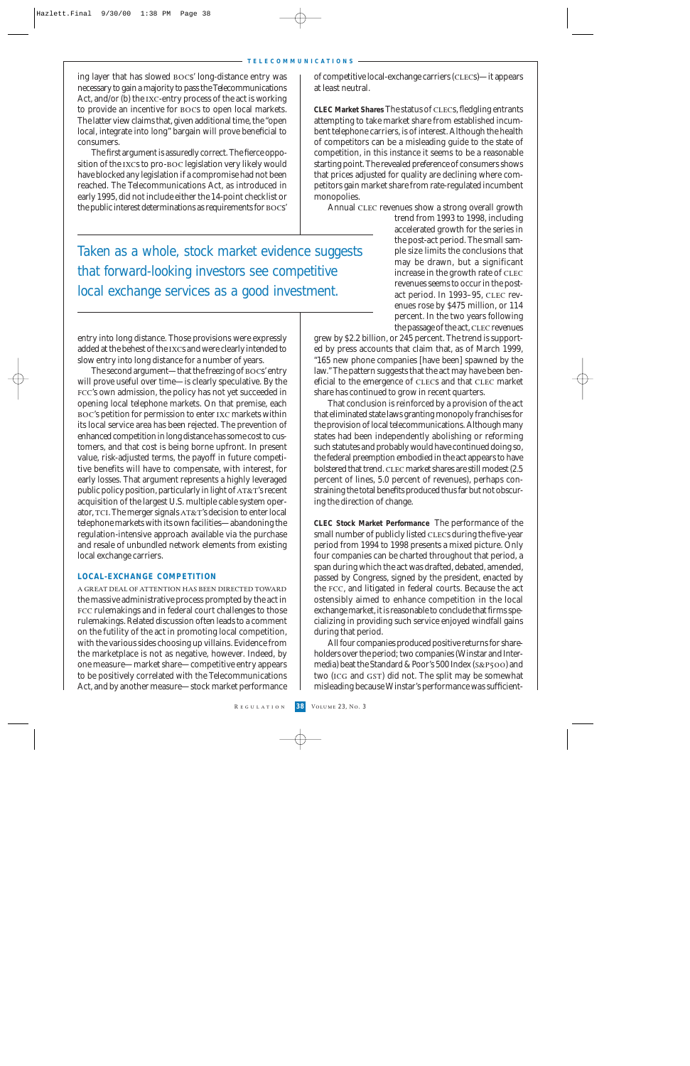#### **TELECOMMUNICATIONS**

ing layer that has slowed bocs' long-distance entry was necessary to gain a majority to pass the Telecommunications Act, and/or (b) the ixc-entry process of the act is working to provide an incentive for bocs to open local markets. The latter view claims that, given additional time, the "open local, integrate into long" bargain will prove beneficial to consumers.

The first argument is assuredly correct. The fierce opposition of the ixcs to pro-boc legislation very likely would have blocked any legislation if a compromise had not been reached. The Telecommunications Act, as introduced in early 1995, did not include either the 14-point checklist or the public interest determinations as requirements for bocs'

of competitive local-exchange carriers (clecs)—it appears at least neutral.

**CLEC Market Shares** The status of clecs, fledgling entrants attempting to take market share from established incumbent telephone carriers, is of interest. Although the health of competitors can be a misleading guide to the state of competition, in this instance it seems to be a reasonable starting point. The revealed preference of consumers shows that prices adjusted for quality are declining where competitors gain market share from rate-regulated incumbent monopolies.

Annual CLEC revenues show a strong overall growth

Taken as a whole, stock market evidence suggests that forward-looking investors see competitive local exchange services as a good investment.

entry into long distance. Those provisions were expressly added at the behest of the ixcs and were clearly intended to slow entry into long distance for a number of years.

The second argument—that the freezing of bocs' entry will prove useful over time—is clearly speculative. By the fcc's own admission, the policy has not yet succeeded in opening local telephone markets. On that premise, each boc's petition for permission to enter ixc markets within its local service area has been rejected. The prevention of enhanced competition in long distance has some cost to customers, and that cost is being borne upfront. In present value, risk-adjusted terms, the payoff in future competitive benefits will have to compensate, with interest, for early losses. That argument represents a highly leveraged public policy position, particularly in light of  $AT&T$ 's recent acquisition of the largest U.S. multiple cable system operator, TCI. The merger signals AT&T's decision to enter local telephone markets with its own facilities—abandoning the regulation-intensive approach available via the purchase and resale of unbundled network elements from existing local exchange carriers.

#### **LOCAL-EXCHANGE COMPETITION**

a great deal of attention has been directed toward the massive administrative process prompted by the act in FCC rulemakings and in federal court challenges to those rulemakings. Related discussion often leads to a comment on the futility of the act in promoting local competition, with the various sides choosing up villains. Evidence from the marketplace is not as negative, however. Indeed, by one measure—market share—competitive entry appears to be positively correlated with the Telecommunications Act, and by another measure—stock market performance trend from 1993 to 1998, including accelerated growth for the series in the post-act period. The small sample size limits the conclusions that may be drawn, but a significant increase in the growth rate of CLEC revenues seems to occur in the postact period. In 1993–95, clec revenues rose by \$475 million, or 114 percent. In the two years following the passage of the act, CLEC revenues

grew by \$2.2 billion, or 245 percent. The trend is supported by press accounts that claim that, as of March 1999, "165 new phone companies [have been] spawned by the law." The pattern suggests that the act may have been beneficial to the emergence of clecs and that clec market share has continued to grow in recent quarters.

That conclusion is reinforced by a provision of the act that eliminated state laws granting monopoly franchises for the provision of local telecommunications. Although many states had been independently abolishing or reforming such statutes and probably would have continued doing so, the federal preemption embodied in the act appears to have bolstered that trend. CLEC market shares are still modest (2.5) percent of lines, 5.0 percent of revenues), perhaps constraining the total benefits produced thus far but not obscuring the direction of change.

**CLEC Stock Market Performance** The performance of the small number of publicly listed CLECs during the five-year period from 1994 to 1998 presents a mixed picture. Only four companies can be charted throughout that period, a span during which the act was drafted, debated, amended, passed by Congress, signed by the president, enacted by the fcc, and litigated in federal courts. Because the act ostensibly aimed to enhance competition in the local exchange market, it is reasonable to conclude that firms specializing in providing such service enjoyed windfall gains during that period.

All four companies produced positive returns for shareholders over the period; two companies (Winstar and Intermedia) beat the Standard & Poor's 500 Index (s&p500) and two (ICG and GST) did not. The split may be somewhat misleading because Winstar's performance was sufficient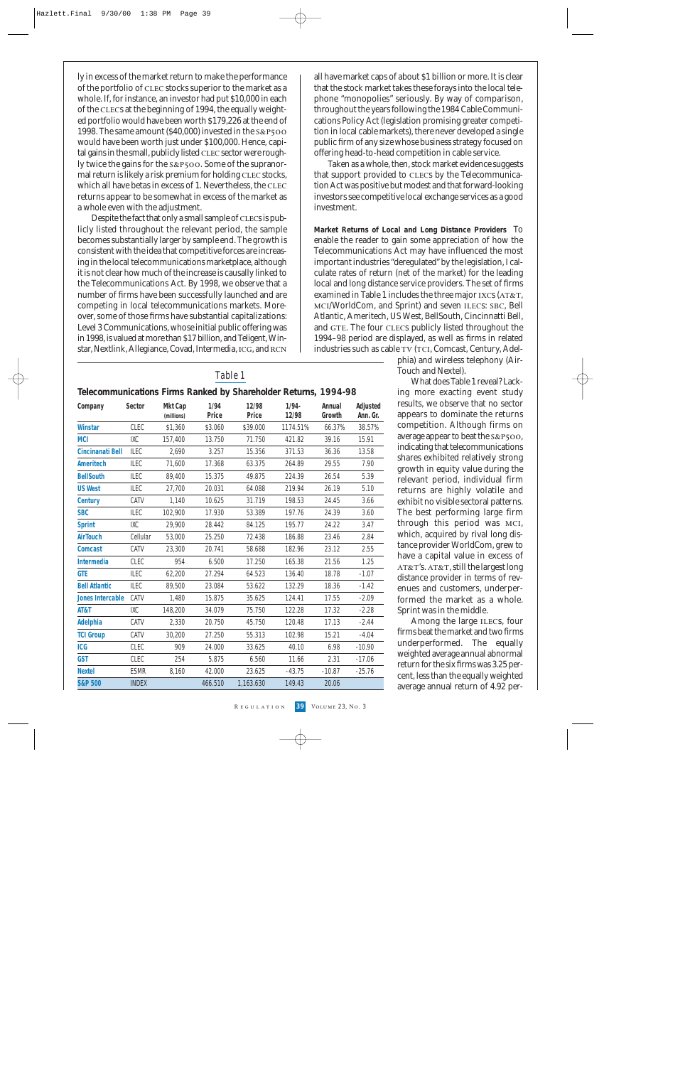ly in excess of the market return to make the performance of the portfolio of clec stocks superior to the market as a whole. If, for instance, an investor had put \$10,000 in each of the CLECs at the beginning of 1994, the equally weighted portfolio would have been worth \$179,226 at the end of 1998. The same amount (\$40,000) invested in the s&p500 would have been worth just under \$100,000. Hence, capital gains in the small, publicly listed CLEC sector were roughly twice the gains for the  $s\&P500$ . Some of the supranormal return is likely a risk premium for holding CLEC stocks, which all have betas in excess of 1. Nevertheless, the CLEC returns appear to be somewhat in excess of the market as a whole even with the adjustment.

Despite the fact that only a small sample of CLECs is publicly listed throughout the relevant period, the sample becomes substantially larger by sample end. The growth is consistent with the idea that competitive forces are increasing in the local telecommunications marketplace, although it is not clear how much of the increase is causally linked to the Telecommunications Act. By 1998, we observe that a number of firms have been successfully launched and are competing in local telecommunications markets. Moreover, some of those firms have substantial capitalizations: Level 3 Communications, whose initial public offering was in 1998, is valued at more than \$17 billion, and Teligent, Winstar, Nextlink, Allegiance, Covad, Intermedia, ICG, and RCN all have market caps of about \$1 billion or more. It is clear that the stock market takes these forays into the local telephone "monopolies" seriously. By way of comparison, throughout the years following the 1984 Cable Communications Policy Act (legislation promising greater competition in local cable markets), there never developed a single public firm of any size whose business strategy focused on offering head-to-head competition in cable service.

Taken as a whole, then, stock market evidence suggests that support provided to CLECs by the Telecommunication Act was positive but modest and that forward-looking investors see competitive local exchange services as a good investment.

**Market Returns of Local and Long Distance Providers** To enable the reader to gain some appreciation of how the Telecommunications Act may have influenced the most important industries "deregulated" by the legislation, I calculate rates of return (net of the market) for the leading local and long distance service providers. The set of firms examined in Table 1 includes the three major IXCs (AT&T, mci/WorldCom, and Sprint) and seven ilecs: sbc, Bell Atlantic, Ameritech, US West, BellSouth, Cincinnatti Bell, and GTE. The four CLECs publicly listed throughout the 1994–98 period are displayed, as well as firms in related industries such as cable TV (TCI, Comcast, Century, Adel-

phia) and wireless telephony (Air-Touch and Nextel).

What does Table 1 reveal? Lacking more exacting event study results, we observe that no sector appears to dominate the returns competition. Although firms on average appear to beat the s&p500, indicating that telecommunications shares exhibited relatively strong growth in equity value during the relevant period, individual firm returns are highly volatile and exhibit no visible sectoral patterns. The best performing large firm through this period was mci, which, acquired by rival long distance provider WorldCom, grew to have a capital value in excess of  $AT&T's$ .  $AT&T$ , still the largest long distance provider in terms of revenues and customers, underperformed the market as a whole. Sprint was in the middle.

Among the large ILECs, four firms beat the market and two firms underperformed. The equally weighted average annual abnormal return for the six firms was 3.25 percent, less than the equally weighted average annual return of 4.92 per-

# *Table 1*

### **Telecommunications Firms Ranked by Shareholder Returns, 1994-98**

|                         |              |                       |               | 5.14.5.151451.151451.157 |                   |                  |                      |
|-------------------------|--------------|-----------------------|---------------|--------------------------|-------------------|------------------|----------------------|
| Company                 | Sector       | Mkt Cap<br>(millions) | 1/94<br>Price | 12/98<br>Price           | $1/94 -$<br>12/98 | Annual<br>Growth | Adjusted<br>Ann. Gr. |
| <b>Winstar</b>          | <b>CLEC</b>  | \$1,360               | \$3.060       | \$39.000                 | 1174.51%          | 66.37%           | 38.57%               |
| <b>MCI</b>              | IXC          | 157.400               | 13.750        | 71.750                   | 421.82            | 39.16            | 15.91                |
| Cincinanati Bell        | ILEC         | 2,690                 | 3.257         | 15.356                   | 371.53            | 36.36            | 13.58                |
| Ameritech               | ILEC         | 71.600                | 17.368        | 63.375                   | 264.89            | 29.55            | 7.90                 |
| <b>BellSouth</b>        | <b>ILEC</b>  | 89,400                | 15.375        | 49.875                   | 224.39            | 26.54            | 5.39                 |
| <b>US West</b>          | ILEC         | 27,700                | 20.031        | 64.088                   | 219.94            | 26.19            | 5.10                 |
| <b>Century</b>          | CATV         | 1,140                 | 10.625        | 31.719                   | 198.53            | 24.45            | 3.66                 |
| <b>SBC</b>              | <b>ILEC</b>  | 102.900               | 17.930        | 53.389                   | 197.76            | 24.39            | 3.60                 |
| <b>Sprint</b>           | IXC          | 29,900                | 28.442        | 84.125                   | 195.77            | 24.22            | 3.47                 |
| <b>AirTouch</b>         | Cellular     | 53,000                | 25.250        | 72.438                   | 186.88            | 23.46            | 2.84                 |
| <b>Comcast</b>          | CATV         | 23,300                | 20.741        | 58.688                   | 182.96            | 23.12            | 2.55                 |
| <b>Intermedia</b>       | CLEC         | 954                   | 6.500         | 17.250                   | 165.38            | 21.56            | 1.25                 |
| <b>GTE</b>              | <b>ILEC</b>  | 62,200                | 27.294        | 64.523                   | 136.40            | 18.78            | $-1.07$              |
| <b>Bell Atlantic</b>    | ILEC         | 89,500                | 23.084        | 53.622                   | 132.29            | 18.36            | $-1.42$              |
| <b>Jones Intercable</b> | CATV         | 1,480                 | 15.875        | 35.625                   | 124.41            | 17.55            | $-2.09$              |
| AT&T                    | IXC          | 148,200               | 34.079        | 75.750                   | 122.28            | 17.32            | $-2.28$              |
| Adelphia                | CATV         | 2,330                 | 20.750        | 45.750                   | 120.48            | 17.13            | $-2.44$              |
| <b>TCI Group</b>        | CATV         | 30,200                | 27.250        | 55.313                   | 102.98            | 15.21            | $-4.04$              |
| <b>ICG</b>              | CLEC         | 909                   | 24.000        | 33.625                   | 40.10             | 6.98             | $-10.90$             |
| <b>GST</b>              | <b>CLEC</b>  | 254                   | 5.875         | 6.560                    | 11.66             | 2.31             | $-17.06$             |
| <b>Nextel</b>           | <b>ESMR</b>  | 8,160                 | 42.000        | 23.625                   | $-43.75$          | $-10.87$         | $-25.76$             |
| <b>S&amp;P 500</b>      | <b>INDEX</b> |                       | 466.510       | 1,163.630                | 149.43            | 20.06            |                      |
|                         |              |                       |               |                          |                   |                  |                      |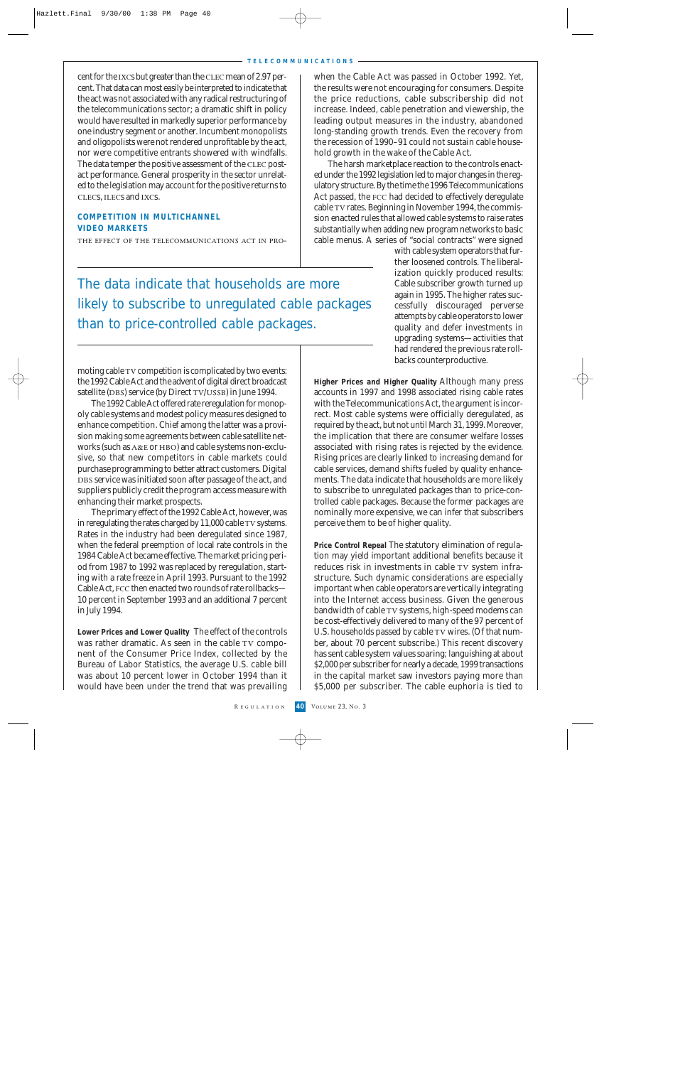cent for the ixcs but greater than the clec mean of 2.97 percent. That data can most easily be interpreted to indicate that the act was not associated with any radical restructuring of the telecommunications sector; a dramatic shift in policy would have resulted in markedly superior performance by one industry segment or another. Incumbent monopolists and oligopolists were not rendered unprofitable by the act, nor were competitive entrants showered with windfalls. The data temper the positive assessment of the CLEC postact performance. General prosperity in the sector unrelated to the legislation may account for the positive returns to clecs, ilecs and ixcs.

# **COMPETITION IN MULTICHANNEL VIDEO MARKETS**

the effect of the telecommunications act in pro-

when the Cable Act was passed in October 1992. Yet, the results were not encouraging for consumers. Despite the price reductions, cable subscribership did not increase. Indeed, cable penetration and viewership, the leading output measures in the industry, abandoned long-standing growth trends. Even the recovery from the recession of 1990–91 could not sustain cable household growth in the wake of the Cable Act.

The harsh marketplace reaction to the controls enacted under the 1992 legislation led to major changes in the regulatory structure. By the time the 1996 Telecommunications Act passed, the fcc had decided to effectively deregulate cable tv rates. Beginning in November 1994, the commission enacted rules that allowed cable systems to raise rates substantially when adding new program networks to basic cable menus. A series of "social contracts" were signed

> with cable system operators that further loosened controls. The liberalization quickly produced results: Cable subscriber growth turned up again in 1995. The higher rates successfully discouraged perverse attempts by cable operators to lower quality and defer investments in upgrading systems—activities that had rendered the previous rate rollbacks counterproductive.

**Higher Prices and Higher Quality** Although many press accounts in 1997 and 1998 associated rising cable rates with the Telecommunications Act, the argument is incorrect. Most cable systems were officially deregulated, as required by the act, but not until March 31, 1999. Moreover, the implication that there are consumer welfare losses associated with rising rates is rejected by the evidence. Rising prices are clearly linked to increasing demand for cable services, demand shifts fueled by quality enhancements. The data indicate that households are more likely to subscribe to unregulated packages than to price-controlled cable packages. Because the former packages are nominally more expensive, we can infer that subscribers perceive them to be of higher quality.

**Price Control Repeal** The statutory elimination of regulation may yield important additional benefits because it reduces risk in investments in cable TV system infrastructure. Such dynamic considerations are especially important when cable operators are vertically integrating into the Internet access business. Given the generous bandwidth of cable TV systems, high-speed modems can be cost-effectively delivered to many of the 97 percent of U.S. households passed by cable TV wires. (Of that number, about 70 percent subscribe.) This recent discovery has sent cable system values soaring; languishing at about \$2,000 per subscriber for nearly a decade, 1999 transactions in the capital market saw investors paying more than \$5,000 per subscriber. The cable euphoria is tied to

The data indicate that households are more likely to subscribe to unregulated cable packages than to price-controlled cable packages.

moting cable TV competition is complicated by two events: the 1992 Cable Act and the advent of digital direct broadcast satellite (DBS) service (by Direct TV/USSB) in June 1994.

The 1992 Cable Act offered rate reregulation for monopoly cable systems and modest policy measures designed to enhance competition. Chief among the latter was a provision making some agreements between cable satellite networks (such as  $A\&E$  or HBO) and cable systems non-exclusive, so that new competitors in cable markets could purchase programming to better attract customers. Digital do be service was initiated soon after passage of the act, and suppliers publicly credit the program access measure with enhancing their market prospects.

The primary effect of the 1992 Cable Act, however, was in reregulating the rates charged by  $11,000$  cable TV systems. Rates in the industry had been deregulated since 1987, when the federal preemption of local rate controls in the 1984 Cable Act became effective. The market pricing period from 1987 to 1992 was replaced by reregulation, starting with a rate freeze in April 1993. Pursuant to the 1992 Cable Act, fcc then enacted two rounds of rate rollbacks— 10 percent in September 1993 and an additional 7 percent in July 1994.

**Lower Prices and Lower Quality** The effect of the controls was rather dramatic. As seen in the cable TV component of the Consumer Price Index, collected by the Bureau of Labor Statistics, the average U.S. cable bill was about 10 percent lower in October 1994 than it would have been under the trend that was prevailing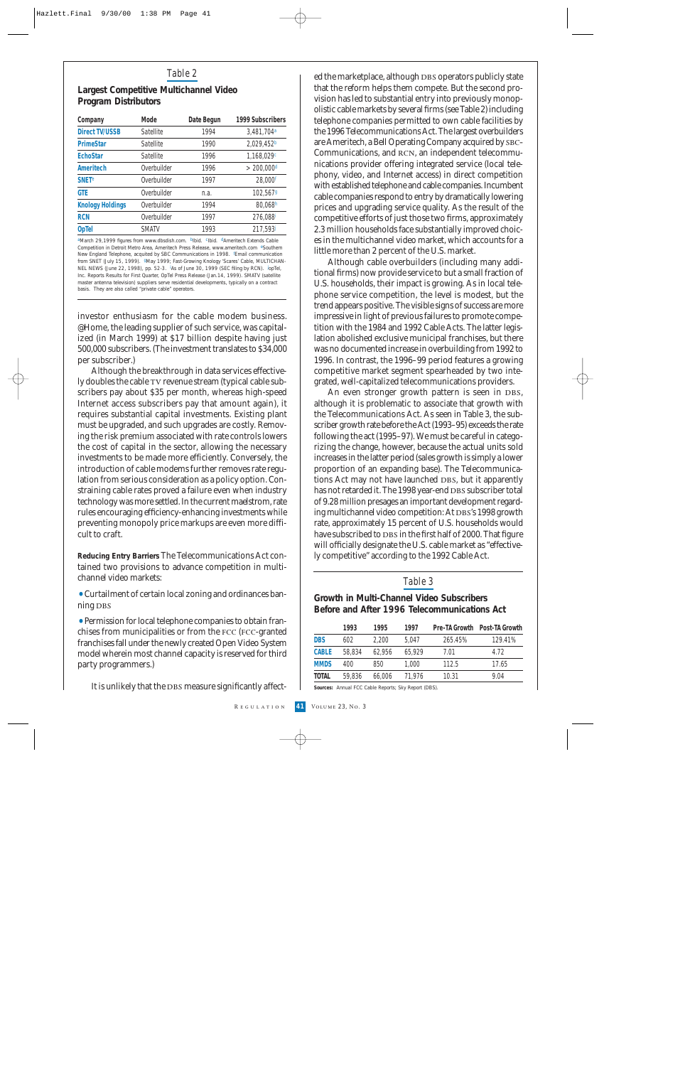# *Table 2*

#### **Largest Competitive Multichannel Video Program Distributors**

| Company                 | Mode             | Date Begun | 1999 Subscribers         |
|-------------------------|------------------|------------|--------------------------|
| <b>Direct TV/USSB</b>   | Satellite        | 1994       | 3,481,704 <sup>a</sup>   |
| <b>PrimeStar</b>        | <b>Satellite</b> | 1990       | 2,029,452 <sup>b</sup>   |
| <b>EchoStar</b>         | Satellite        | 1996       | 1,168,029c               |
| Ameritech               | Overbuilder      | 1996       | $>$ 200.000 <sup>d</sup> |
| <b>SNET<sup>e</sup></b> | Overbuilder      | 1997       | 28,000 <sup>f</sup>      |
| <b>GTE</b>              | Overbuilder      | n.a.       | 102,5679                 |
| <b>Knology Holdings</b> | Overbuilder      | 1994       | 80,068h                  |
| <b>RCN</b>              | Overbuilder      | 1997       | 276,088 <sup>i</sup>     |
| <b>OpTel</b>            | <b>SMATV</b>     | 1993       | 217,593J                 |

aMarch 29,1999 figures from www.dbsdish.com. blbid. clbid. dAmeritech Extends Cable Competition in Detroit Metro Area, Ameritech Press Release, www.ameritech.com eSouthern New England Telephone, acquited by SBC Communications in 1998. <sup>f</sup>Email communication from SNET (July 15, 1999). 9May 1999; Fast-Growing Knology 'Scares' Cable, MULTICHAN-NEL NEWS (June 22, 1998), pp. 52-3. <sup>i</sup>As of June 30, 1999 (SEC filing by RCN). JopTel, Inc. Reports Results for First Quarter, OpTel Press Release (Jan.14, 1999). SMATV (satellite master antenna television) suppliers serve residential developments, typically on a contract basis. They are also called "private cable" operators.

investor enthusiasm for the cable modem business. @Home, the leading supplier of such service, was capitalized (in March 1999) at \$17 billion despite having just 500,000 subscribers. (The investment translates to \$34,000 per subscriber.)

Although the breakthrough in data services effectively doubles the cable TV revenue stream (typical cable subscribers pay about \$35 per month, whereas high-speed Internet access subscribers pay that amount again), it requires substantial capital investments. Existing plant must be upgraded, and such upgrades are costly. Removing the risk premium associated with rate controls lowers the cost of capital in the sector, allowing the necessary investments to be made more efficiently. Conversely, the introduction of cable modems further removes rate regulation from serious consideration as a policy option. Constraining cable rates proved a failure even when industry technology was more settled. In the current maelstrom, rate rules encouraging efficiency-enhancing investments while preventing monopoly price markups are even more difficult to craft.

**Reducing Entry Barriers** The Telecommunications Act contained two provisions to advance competition in multichannel video markets:

•Curtailment of certain local zoning and ordinances banning DBS

•Permission for local telephone companies to obtain franchises from municipalities or from the fcc (fcc-granted franchises fall under the newly created Open Video System model wherein most channel capacity is reserved for third party programmers.)

It is unlikely that the DBS measure significantly affect-

ed the marketplace, although DBS operators publicly state that the reform helps them compete. But the second provision has led to substantial entry into previously monopolistic cable markets by several firms (see Table 2) including telephone companies permitted to own cable facilities by the 1996 Telecommunications Act. The largest overbuilders are Ameritech, a Bell Operating Company acquired by sbc-Communications, and RCN, an independent telecommunications provider offering integrated service (local telephony, video, and Internet access) in direct competition with established telephone and cable companies. Incumbent cable companies respond to entry by dramatically lowering prices and upgrading service quality. As the result of the competitive efforts of just those two firms, approximately 2.3 million households face substantially improved choices in the multichannel video market, which accounts for a little more than 2 percent of the U.S. market.

Although cable overbuilders (including many additional firms) now provide service to but a small fraction of U.S. households, their impact is growing. As in local telephone service competition, the level is modest, but the trend appears positive. The visible signs of success are more impressive in light of previous failures to promote competition with the 1984 and 1992 Cable Acts. The latter legislation abolished exclusive municipal franchises, but there was no documented increase in overbuilding from 1992 to 1996. In contrast, the 1996–99 period features a growing competitive market segment spearheaded by two integrated, well-capitalized telecommunications providers.

An even stronger growth pattern is seen in DBS, although it is problematic to associate that growth with the Telecommunications Act. As seen in Table 3, the subscriber growth rate before the Act (1993–95) exceeds the rate following the act (1995–97). We must be careful in categorizing the change, however, because the actual units sold increases in the latter period (sales growth is simply a lower proportion of an expanding base). The Telecommunications Act may not have launched DBS, but it apparently has not retarded it. The 1998 year-end DBS subscriber total of 9.28 million presages an important development regarding multichannel video competition: At DBS's 1998 growth rate, approximately 15 percent of U.S. households would have subscribed to DBS in the first half of 2000. That figure will officially designate the U.S. cable market as "effectively competitive" according to the 1992 Cable Act.

# *Table 3*

# **Growth in Multi-Channel Video Subscribers Before and After 1996 Telecommunications Act**

|              | 1993   | 1995   | 1997   | Pre-TA Growth | Post-TA Growth |
|--------------|--------|--------|--------|---------------|----------------|
| <b>DBS</b>   | 602    | 2.200  | 5.047  | 265.45%       | 129.41%        |
| <b>CABLE</b> | 58.834 | 62.956 | 65.929 | 7.01          | 4.72           |
| <b>MMDS</b>  | 400    | 850    | 1.000  | 112.5         | 17.65          |
| <b>TOTAL</b> | 59,836 | 66,006 | 71.976 | 10.31         | 9.04           |

**Sources:** Annual FCC Cable Reports; Sky Report (DBS).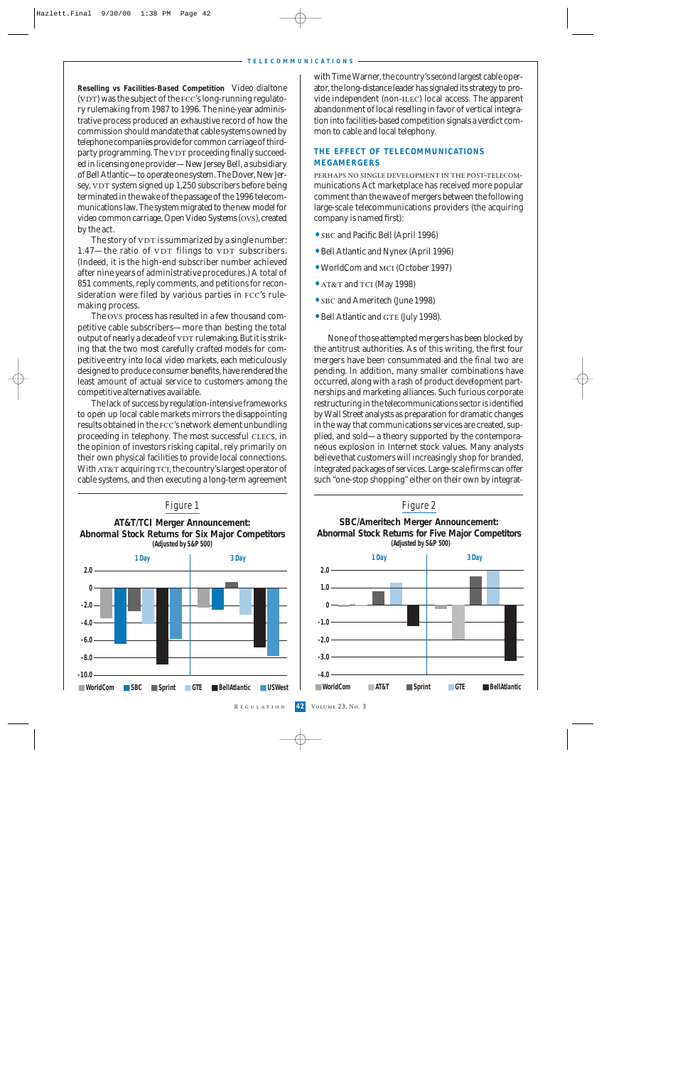**Reselling vs Facilities-Based Competition** Video dialtone (VDT) was the subject of the FCC's long-running regulatory rulemaking from 1987 to 1996. The nine-year administrative process produced an exhaustive record of how the commission should mandate that cable systems owned by telephone companies provide for common carriage of thirdparty programming. The VDT proceeding finally succeeded in licensing one provider—New Jersey Bell, a subsidiary of Bell Atlantic—to operate one system. The Dover, New Jersey, VDT system signed up 1,250 subscribers before being terminated in the wake of the passage of the 1996 telecommunications law. The system migrated to the new model for video common carriage, Open Video Systems (ovs), created by the act.

The story of  $VDT$  is summarized by a single number:  $1.47$ —the ratio of VDT filings to VDT subscribers. (Indeed, it is the high-end subscriber number achieved after nine years of administrative procedures.) A total of 851 comments, reply comments, and petitions for reconsideration were filed by various parties in FCC's rulemaking process.

The ovs process has resulted in a few thousand competitive cable subscribers—more than besting the total output of nearly a decade of VDT rulemaking. But it is striking that the two most carefully crafted models for competitive entry into local video markets, each meticulously designed to produce consumer benefits, have rendered the least amount of actual service to customers among the competitive alternatives available.

The lack of success by regulation-intensive frameworks to open up local cable markets mirrors the disappointing results obtained in the fcc's network element unbundling proceeding in telephony. The most successful CLECs, in the opinion of investors risking capital, rely primarily on their own physical facilities to provide local connections. With AT&T acquiring TCI, the country's largest operator of cable systems, and then executing a long-term agreement



with Time Warner, the country's second largest cable operator, the long-distance leader has signaled its strategy to provide independent (non-ilec) local access. The apparent abandonment of local reselling in favor of vertical integration into facilities-based competition signals a verdict common to cable and local telephony.

# **THE EFFECT OF TELECOMMUNICATIONS MEGAMERGERS**

perhaps no single development in the post-telecommunications Act marketplace has received more popular comment than the wave of mergers between the following large-scale telecommunications providers (the acquiring company is named first):

- SBC and Pacific Bell (April 1996)
- •Bell Atlantic and Nynex (April 1996)
- WorldCom and MCI (October 1997)
- AT&T and TCI (May 1998)
- SBC and Ameritech (June 1998)
- Bell Atlantic and GTE (July 1998).

None of those attempted mergers has been blocked by the antitrust authorities. As of this writing, the first four mergers have been consummated and the final two are pending. In addition, many smaller combinations have occurred, along with a rash of product development partnerships and marketing alliances. Such furious corporate restructuring in the telecommunications sector is identified by Wall Street analysts as preparation for dramatic changes in the way that communications services are created, supplied, and sold—a theory supported by the contemporaneous explosion in Internet stock values. Many analysts believe that customers will increasingly shop for branded, integrated packages of services. Large-scale firms can offer such "one-stop shopping" either on their own by integrat-

*Figure 2* **SBC/Ameritech Merger Announcement: Abnormal Stock Returns for Five Major Competitors (Adjusted by S&P 500) 1 Day 3 Day**

■ **WorldCom** ■ **AT&T** ■ **Sprint** ■ **GTE** ■ **BellAtlantic**

**42** Volume 23, No. 3

 $2.0 10 -$ 

**0**  $-1.0 -$ 

**-2.0**

**-3.0 -4.0**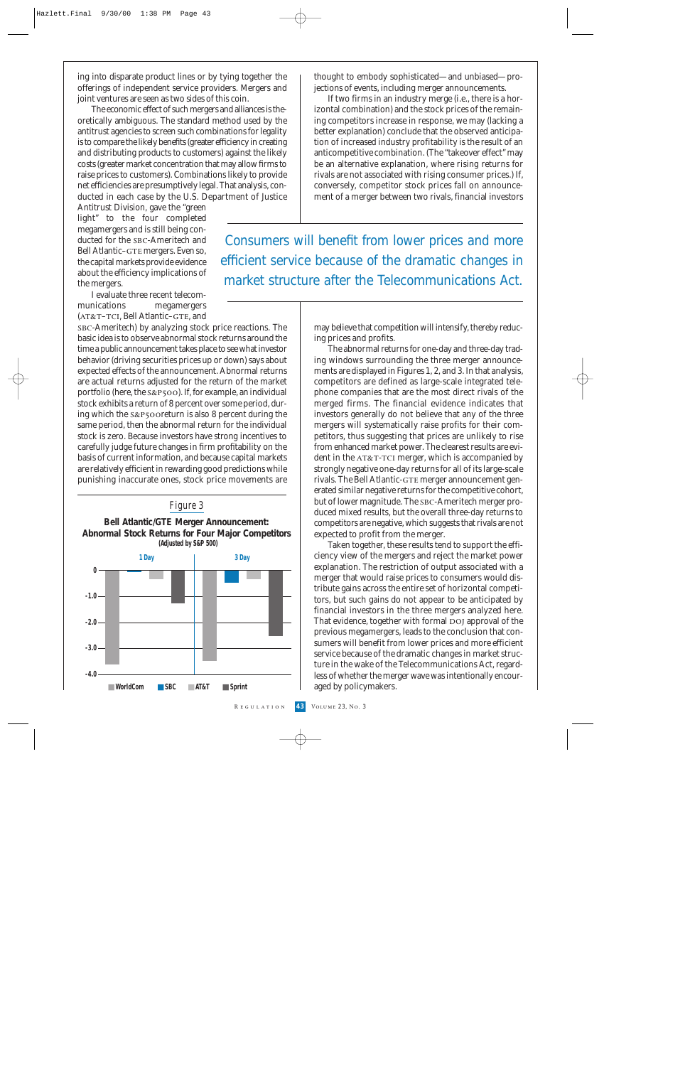ing into disparate product lines or by tying together the offerings of independent service providers. Mergers and joint ventures are seen as two sides of this coin.

The economic effect of such mergers and alliances is theoretically ambiguous. The standard method used by the antitrust agencies to screen such combinations for legality is to compare the likely benefits (greater efficiency in creating and distributing products to customers) against the likely costs (greater market concentration that may allow firms to raise prices to customers). Combinations likely to provide net efficiencies are presumptively legal. That analysis, conducted in each case by the U.S. Department of Justice

Antitrust Division, gave the "green light" to the four completed megamergers and is still being conducted for the SBC-Ameritech and Bell Atlantic-GTE mergers. Even so, the capital markets provide evidence about the efficiency implications of the mergers.

I evaluate three recent telecommunications megamergers  $(AT&T-TCI, Bell Atlantic-GTE, and$ 

sbc-Ameritech) by analyzing stock price reactions. The basic idea is to observe abnormal stock returns around the time a public announcement takes place to see what investor behavior (driving securities prices up or down) says about expected effects of the announcement. Abnormal returns are actual returns adjusted for the return of the market portfolio (here, the  $s\&P500$ ). If, for example, an individual stock exhibits a return of 8 percent over some period, during which the s&p500return is also 8 percent during the same period, then the abnormal return for the individual stock is zero. Because investors have strong incentives to carefully judge future changes in firm profitability on the basis of current information, and because capital markets are relatively efficient in rewarding good predictions while punishing inaccurate ones, stock price movements are



thought to embody sophisticated—and unbiased—projections of events, including merger announcements.

If two firms in an industry merge (i.e., there is a horizontal combination) and the stock prices of the remaining competitors increase in response, we may (lacking a better explanation) conclude that the observed anticipation of increased industry profitability is the result of an anticompetitive combination. (The "takeover effect" may be an alternative explanation, where rising returns for rivals are not associated with rising consumer prices.) If, conversely, competitor stock prices fall on announcement of a merger between two rivals, financial investors

Consumers will benefit from lower prices and more efficient service because of the dramatic changes in market structure after the Telecommunications Act.

> may believe that competition will intensify, thereby reducing prices and profits.

> The abnormal returns for one-day and three-day trading windows surrounding the three merger announcements are displayed in Figures 1, 2, and 3. In that analysis, competitors are defined as large-scale integrated telephone companies that are the most direct rivals of the merged firms. The financial evidence indicates that investors generally do not believe that any of the three mergers will systematically raise profits for their competitors, thus suggesting that prices are unlikely to rise from enhanced market power. The clearest results are evident in the AT&T-TCI merger, which is accompanied by strongly negative one-day returns for all of its large-scale rivals. The Bell Atlantic-GTE merger announcement generated similar negative returns for the competitive cohort, but of lower magnitude. The SBC-Ameritech merger produced mixed results, but the overall three-day returns to competitors are negative, which suggests that rivals are not expected to profit from the merger.

> Taken together, these results tend to support the efficiency view of the mergers and reject the market power explanation. The restriction of output associated with a merger that would raise prices to consumers would distribute gains across the entire set of horizontal competitors, but such gains do not appear to be anticipated by financial investors in the three mergers analyzed here. That evidence, together with formal DOJ approval of the previous megamergers, leads to the conclusion that consumers will benefit from lower prices and more efficient service because of the dramatic changes in market structure in the wake of the Telecommunications Act, regardless of whether the merger wave was intentionally encouraged by policymakers.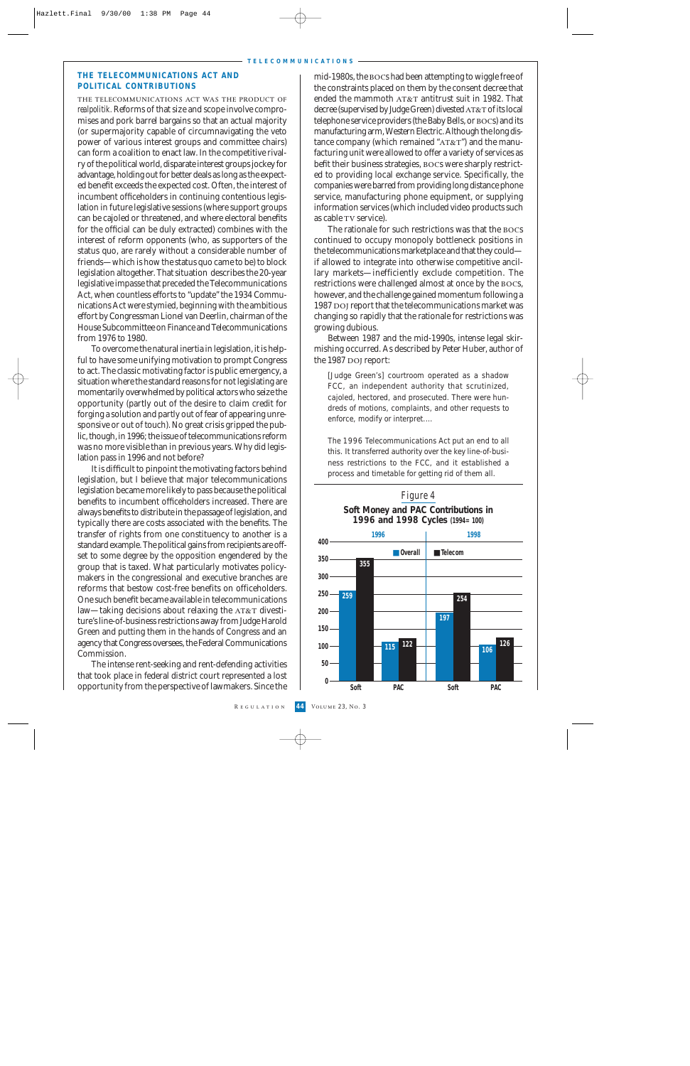#### **THE TELECOMMUNICATIONS ACT AND POLITICAL CONTRIBUTIONS**

the telecommunications act was the product of*realpolitik.* Reforms of that size and scope involve compromises and pork barrel bargains so that an actual majority (or supermajority capable of circumnavigating the veto power of various interest groups and committee chairs) can form a coalition to enact law. In the competitive rivalry of the political world, disparate interest groups jockey for advantage, holding out for better deals as long as the expected benefit exceeds the expected cost. Often, the interest of incumbent officeholders in continuing contentious legislation in future legislative sessions (where support groups can be cajoled or threatened, and where electoral benefits for the official can be duly extracted) combines with the interest of reform opponents (who, as supporters of the status quo, are rarely without a considerable number of friends—which is how the status quo came to be) to block legislation altogether. That situation describes the 20-year legislative impasse that preceded the Telecommunications Act, when countless efforts to "update" the 1934 Communications Act were stymied, beginning with the ambitious effort by Congressman Lionel van Deerlin, chairman of the House Subcommittee on Finance and Telecommunications from 1976 to 1980.

To overcome the natural inertia in legislation, it is helpful to have some unifying motivation to prompt Congress to act. The classic motivating factor is public emergency, a situation where the standard reasons for not legislating are momentarily overwhelmed by political actors who seize the opportunity (partly out of the desire to claim credit for forging a solution and partly out of fear of appearing unresponsive or out of touch). No great crisis gripped the public, though, in 1996; the issue of telecommunications reform was no more visible than in previous years. Why did legislation pass in 1996 and not before?

It is difficult to pinpoint the motivating factors behind legislation, but I believe that major telecommunications legislation became more likely to pass because the political benefits to incumbent officeholders increased. There are always benefits to distribute in the passage of legislation, and typically there are costs associated with the benefits. The transfer of rights from one constituency to another is a standard example. The political gains from recipients are offset to some degree by the opposition engendered by the group that is taxed. What particularly motivates policymakers in the congressional and executive branches are reforms that bestow cost-free benefits on officeholders. One such benefit became available in telecommunications law—taking decisions about relaxing the  $AT&T$  divestiture's line-of-business restrictions away from Judge Harold Green and putting them in the hands of Congress and an agency that Congress oversees, the Federal Communications Commission.

The intense rent-seeking and rent-defending activities that took place in federal district court represented a lost opportunity from the perspective of lawmakers. Since the

mid-1980s, the bocs had been attempting to wiggle free of the constraints placed on them by the consent decree that ended the mammoth  $AT&T$  antitrust suit in 1982. That decree (supervised by Judge Green) divested AT&T of its local telephone service providers (the Baby Bells, or BOCs) and its manufacturing arm, Western Electric. Although the long distance company (which remained " $AT&T$ ") and the manufacturing unit were allowed to offer a variety of services as befit their business strategies, bocs were sharply restricted to providing local exchange service. Specifically, the companies were barred from providing long distance phone service, manufacturing phone equipment, or supplying information services (which included video products such as cable TV service).

The rationale for such restrictions was that the bocs continued to occupy monopoly bottleneck positions in the telecommunications marketplace and that they could if allowed to integrate into otherwise competitive ancillary markets—inefficiently exclude competition. The restrictions were challenged almost at once by the bocs, however, and the challenge gained momentum following a 1987 DOJ report that the telecommunications market was changing so rapidly that the rationale for restrictions was growing dubious.

Between 1987 and the mid-1990s, intense legal skirmishing occurred. As described by Peter Huber, author of the 1987 DOJ report:

[Judge Green's] courtroom operated as a shadow FCC, an independent authority that scrutinized, cajoled, hectored, and prosecuted. There were hundreds of motions, complaints, and other requests to enforce, modify or interpret.…

The 1996 Telecommunications Act put an end to all this. It transferred authority over the key line-of-business restrictions to the FCC, and it established a process and timetable for getting rid of them all.